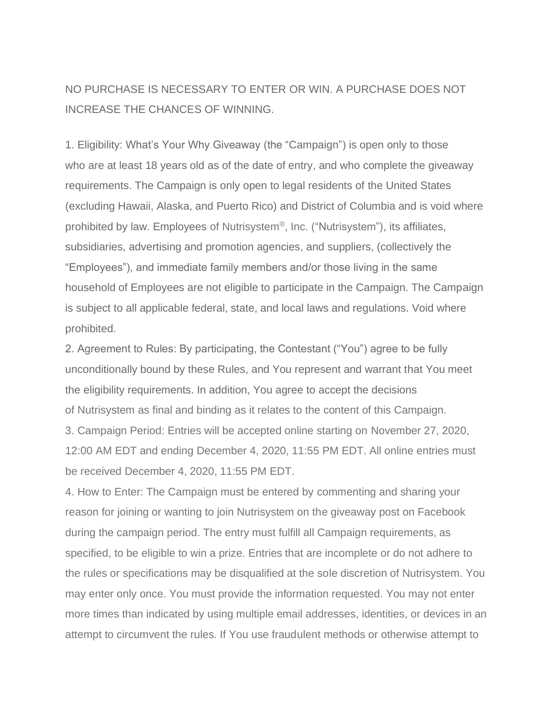NO PURCHASE IS NECESSARY TO ENTER OR WIN. A PURCHASE DOES NOT INCREASE THE CHANCES OF WINNING.

1. Eligibility: What's Your Why Giveaway (the "Campaign") is open only to those who are at least 18 years old as of the date of entry, and who complete the giveaway requirements. The Campaign is only open to legal residents of the United States (excluding Hawaii, Alaska, and Puerto Rico) and District of Columbia and is void where prohibited by law. Employees of Nutrisystem®, Inc. ("Nutrisystem"), its affiliates, subsidiaries, advertising and promotion agencies, and suppliers, (collectively the "Employees"), and immediate family members and/or those living in the same household of Employees are not eligible to participate in the Campaign. The Campaign is subject to all applicable federal, state, and local laws and regulations. Void where prohibited.

2. Agreement to Rules: By participating, the Contestant ("You") agree to be fully unconditionally bound by these Rules, and You represent and warrant that You meet the eligibility requirements. In addition, You agree to accept the decisions of Nutrisystem as final and binding as it relates to the content of this Campaign. 3. Campaign Period: Entries will be accepted online starting on November 27, 2020, 12:00 AM EDT and ending December 4, 2020, 11:55 PM EDT. All online entries must be received December 4, 2020, 11:55 PM EDT.

4. How to Enter: The Campaign must be entered by commenting and sharing your reason for joining or wanting to join Nutrisystem on the giveaway post on Facebook during the campaign period. The entry must fulfill all Campaign requirements, as specified, to be eligible to win a prize. Entries that are incomplete or do not adhere to the rules or specifications may be disqualified at the sole discretion of Nutrisystem. You may enter only once. You must provide the information requested. You may not enter more times than indicated by using multiple email addresses, identities, or devices in an attempt to circumvent the rules. If You use fraudulent methods or otherwise attempt to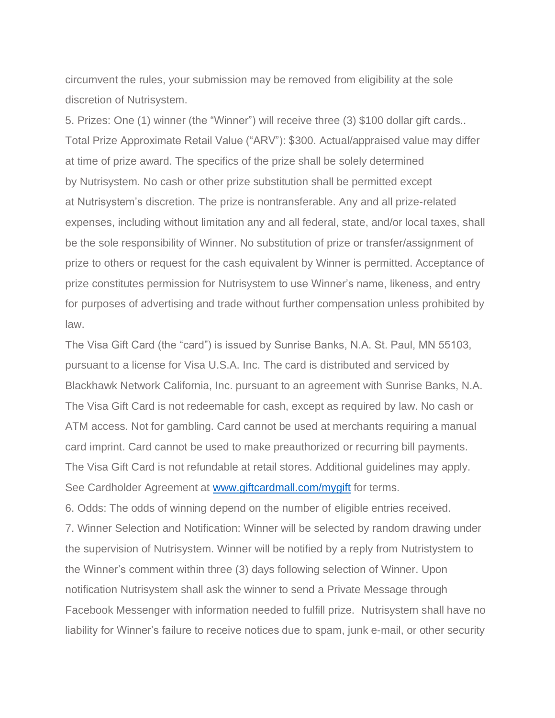circumvent the rules, your submission may be removed from eligibility at the sole discretion of Nutrisystem.

5. Prizes: One (1) winner (the "Winner") will receive three (3) \$100 dollar gift cards.. Total Prize Approximate Retail Value ("ARV"): \$300. Actual/appraised value may differ at time of prize award. The specifics of the prize shall be solely determined by Nutrisystem. No cash or other prize substitution shall be permitted except at Nutrisystem's discretion. The prize is nontransferable. Any and all prize-related expenses, including without limitation any and all federal, state, and/or local taxes, shall be the sole responsibility of Winner. No substitution of prize or transfer/assignment of prize to others or request for the cash equivalent by Winner is permitted. Acceptance of prize constitutes permission for Nutrisystem to use Winner's name, likeness, and entry for purposes of advertising and trade without further compensation unless prohibited by law.

The Visa Gift Card (the "card") is issued by Sunrise Banks, N.A. St. Paul, MN 55103, pursuant to a license for Visa U.S.A. Inc. The card is distributed and serviced by Blackhawk Network California, Inc. pursuant to an agreement with Sunrise Banks, N.A. The Visa Gift Card is not redeemable for cash, except as required by law. No cash or ATM access. Not for gambling. Card cannot be used at merchants requiring a manual card imprint. Card cannot be used to make preauthorized or recurring bill payments. The Visa Gift Card is not refundable at retail stores. Additional guidelines may apply. See Cardholder Agreement at [www.giftcardmall.com/mygift](http://www.giftcardmall.com/mygift) for terms.

6. Odds: The odds of winning depend on the number of eligible entries received. 7. Winner Selection and Notification: Winner will be selected by random drawing under the supervision of Nutrisystem. Winner will be notified by a reply from Nutristystem to the Winner's comment within three (3) days following selection of Winner. Upon notification Nutrisystem shall ask the winner to send a Private Message through Facebook Messenger with information needed to fulfill prize. Nutrisystem shall have no liability for Winner's failure to receive notices due to spam, junk e-mail, or other security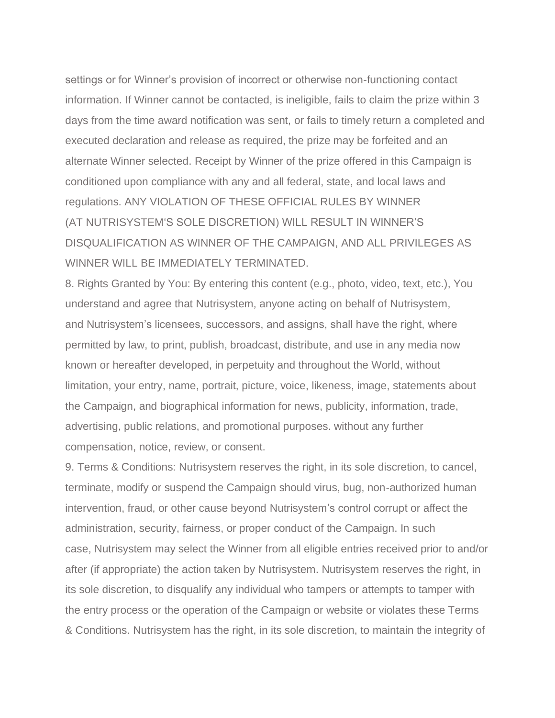settings or for Winner's provision of incorrect or otherwise non-functioning contact information. If Winner cannot be contacted, is ineligible, fails to claim the prize within 3 days from the time award notification was sent, or fails to timely return a completed and executed declaration and release as required, the prize may be forfeited and an alternate Winner selected. Receipt by Winner of the prize offered in this Campaign is conditioned upon compliance with any and all federal, state, and local laws and regulations. ANY VIOLATION OF THESE OFFICIAL RULES BY WINNER (AT NUTRISYSTEM'S SOLE DISCRETION) WILL RESULT IN WINNER'S DISQUALIFICATION AS WINNER OF THE CAMPAIGN, AND ALL PRIVILEGES AS WINNER WILL BE IMMEDIATELY TERMINATED.

8. Rights Granted by You: By entering this content (e.g., photo, video, text, etc.), You understand and agree that Nutrisystem, anyone acting on behalf of Nutrisystem, and Nutrisystem's licensees, successors, and assigns, shall have the right, where permitted by law, to print, publish, broadcast, distribute, and use in any media now known or hereafter developed, in perpetuity and throughout the World, without limitation, your entry, name, portrait, picture, voice, likeness, image, statements about the Campaign, and biographical information for news, publicity, information, trade, advertising, public relations, and promotional purposes. without any further compensation, notice, review, or consent.

9. Terms & Conditions: Nutrisystem reserves the right, in its sole discretion, to cancel, terminate, modify or suspend the Campaign should virus, bug, non-authorized human intervention, fraud, or other cause beyond Nutrisystem's control corrupt or affect the administration, security, fairness, or proper conduct of the Campaign. In such case, Nutrisystem may select the Winner from all eligible entries received prior to and/or after (if appropriate) the action taken by Nutrisystem. Nutrisystem reserves the right, in its sole discretion, to disqualify any individual who tampers or attempts to tamper with the entry process or the operation of the Campaign or website or violates these Terms & Conditions. Nutrisystem has the right, in its sole discretion, to maintain the integrity of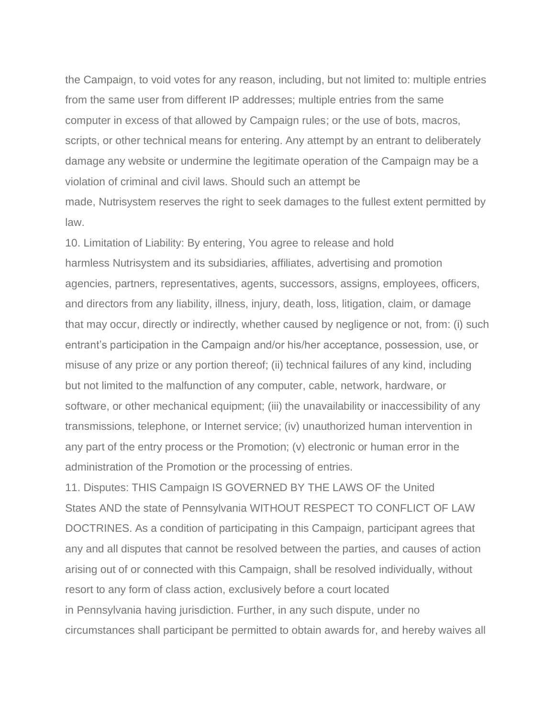the Campaign, to void votes for any reason, including, but not limited to: multiple entries from the same user from different IP addresses; multiple entries from the same computer in excess of that allowed by Campaign rules; or the use of bots, macros, scripts, or other technical means for entering. Any attempt by an entrant to deliberately damage any website or undermine the legitimate operation of the Campaign may be a violation of criminal and civil laws. Should such an attempt be made, Nutrisystem reserves the right to seek damages to the fullest extent permitted by law.

10. Limitation of Liability: By entering, You agree to release and hold harmless Nutrisystem and its subsidiaries, affiliates, advertising and promotion agencies, partners, representatives, agents, successors, assigns, employees, officers, and directors from any liability, illness, injury, death, loss, litigation, claim, or damage that may occur, directly or indirectly, whether caused by negligence or not, from: (i) such entrant's participation in the Campaign and/or his/her acceptance, possession, use, or misuse of any prize or any portion thereof; (ii) technical failures of any kind, including but not limited to the malfunction of any computer, cable, network, hardware, or software, or other mechanical equipment; (iii) the unavailability or inaccessibility of any transmissions, telephone, or Internet service; (iv) unauthorized human intervention in any part of the entry process or the Promotion; (v) electronic or human error in the administration of the Promotion or the processing of entries.

11. Disputes: THIS Campaign IS GOVERNED BY THE LAWS OF the United States AND the state of Pennsylvania WITHOUT RESPECT TO CONFLICT OF LAW DOCTRINES. As a condition of participating in this Campaign, participant agrees that any and all disputes that cannot be resolved between the parties, and causes of action arising out of or connected with this Campaign, shall be resolved individually, without resort to any form of class action, exclusively before a court located in Pennsylvania having jurisdiction. Further, in any such dispute, under no circumstances shall participant be permitted to obtain awards for, and hereby waives all